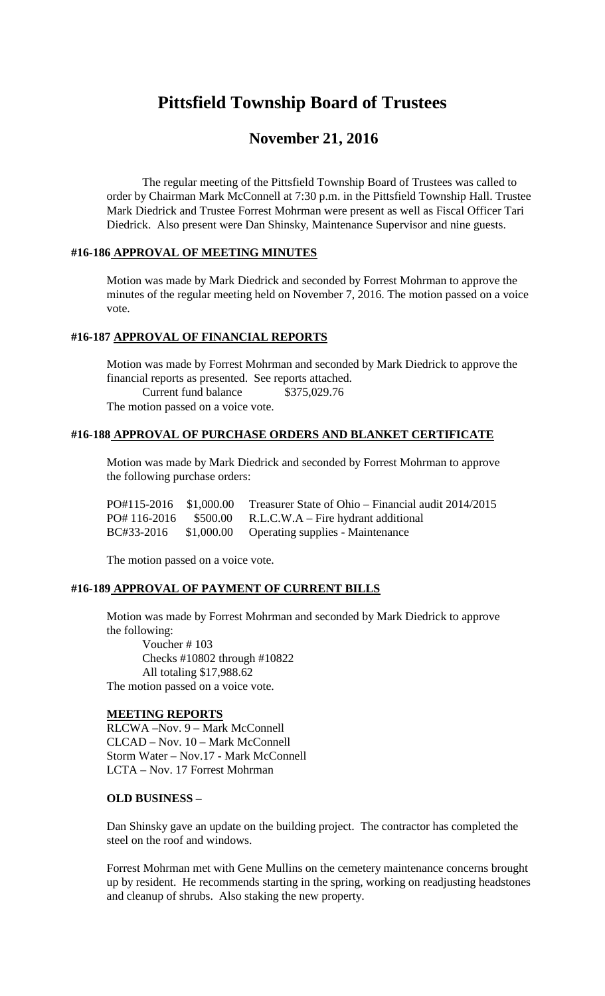# **Pittsfield Township Board of Trustees**

# **November 21, 2016**

The regular meeting of the Pittsfield Township Board of Trustees was called to order by Chairman Mark McConnell at 7:30 p.m. in the Pittsfield Township Hall. Trustee Mark Diedrick and Trustee Forrest Mohrman were present as well as Fiscal Officer Tari Diedrick. Also present were Dan Shinsky, Maintenance Supervisor and nine guests.

#### **#16-186 APPROVAL OF MEETING MINUTES**

Motion was made by Mark Diedrick and seconded by Forrest Mohrman to approve the minutes of the regular meeting held on November 7, 2016. The motion passed on a voice vote.

### **#16-187 APPROVAL OF FINANCIAL REPORTS**

Motion was made by Forrest Mohrman and seconded by Mark Diedrick to approve the financial reports as presented. See reports attached. Current fund balance \$375,029.76 The motion passed on a voice vote.

#### **#16-188 APPROVAL OF PURCHASE ORDERS AND BLANKET CERTIFICATE**

Motion was made by Mark Diedrick and seconded by Forrest Mohrman to approve the following purchase orders:

|  | $PO#115-2016$ \$1,000.00 Treasurer State of Ohio – Financial audit 2014/2015 |
|--|------------------------------------------------------------------------------|
|  | $PO# 116-2016$ \$500.00 R.L.C.W.A – Fire hydrant additional                  |
|  | BC#33-2016 \$1,000.00 Operating supplies - Maintenance                       |

The motion passed on a voice vote.

#### **#16-189 APPROVAL OF PAYMENT OF CURRENT BILLS**

Motion was made by Forrest Mohrman and seconded by Mark Diedrick to approve the following:

Voucher # 103 Checks #10802 through #10822 All totaling \$17,988.62 The motion passed on a voice vote.

#### **MEETING REPORTS**

RLCWA –Nov. 9 – Mark McConnell CLCAD – Nov. 10 – Mark McConnell Storm Water – Nov.17 - Mark McConnell LCTA – Nov. 17 Forrest Mohrman

#### **OLD BUSINESS –**

Dan Shinsky gave an update on the building project. The contractor has completed the steel on the roof and windows.

Forrest Mohrman met with Gene Mullins on the cemetery maintenance concerns brought up by resident. He recommends starting in the spring, working on readjusting headstones and cleanup of shrubs. Also staking the new property.